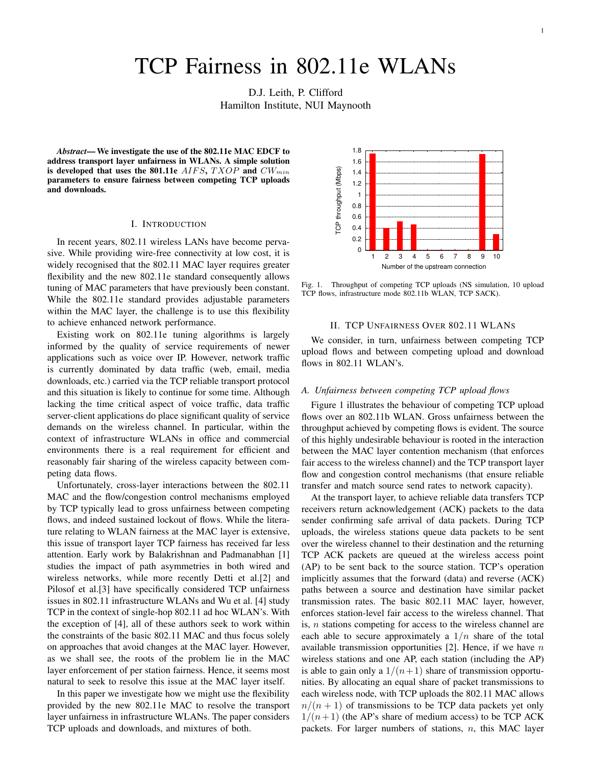# TCP Fairness in 802.11e WLANs

D.J. Leith, P. Clifford Hamilton Institute, NUI Maynooth

*Abstract***—We investigate the use of the 802.11e MAC EDCF to address transport layer unfairness in WLANs. A simple solution** is developed that uses the 801.11e  $AIFS, TXOP$  and  $CW_{min}$ **parameters to ensure fairness between competing TCP uploads and downloads.**

#### I. INTRODUCTION

In recent years, 802.11 wireless LANs have become pervasive. While providing wire-free connectivity at low cost, it is widely recognised that the 802.11 MAC layer requires greater flexibility and the new 802.11e standard consequently allows tuning of MAC parameters that have previously been constant. While the 802.11e standard provides adjustable parameters within the MAC layer, the challenge is to use this flexibility to achieve enhanced network performance.

Existing work on 802.11e tuning algorithms is largely informed by the quality of service requirements of newer applications such as voice over IP. However, network traffic is currently dominated by data traffic (web, email, media downloads, etc.) carried via the TCP reliable transport protocol and this situation is likely to continue for some time. Although lacking the time critical aspect of voice traffic, data traffic server-client applications do place significant quality of service demands on the wireless channel. In particular, within the context of infrastructure WLANs in office and commercial environments there is a real requirement for efficient and reasonably fair sharing of the wireless capacity between competing data flows.

Unfortunately, cross-layer interactions between the 802.11 MAC and the flow/congestion control mechanisms employed by TCP typically lead to gross unfairness between competing flows, and indeed sustained lockout of flows. While the literature relating to WLAN fairness at the MAC layer is extensive, this issue of transport layer TCP fairness has received far less attention. Early work by Balakrishnan and Padmanabhan [1] studies the impact of path asymmetries in both wired and wireless networks, while more recently Detti et al.[2] and Pilosof et al.[3] have specifically considered TCP unfairness issues in 802.11 infrastructure WLANs and Wu et al. [4] study TCP in the context of single-hop 802.11 ad hoc WLAN's. With the exception of [4], all of these authors seek to work within the constraints of the basic 802.11 MAC and thus focus solely on approaches that avoid changes at the MAC layer. However, as we shall see, the roots of the problem lie in the MAC layer enforcement of per station fairness. Hence, it seems most natural to seek to resolve this issue at the MAC layer itself.

In this paper we investigate how we might use the flexibility provided by the new 802.11e MAC to resolve the transport layer unfairness in infrastructure WLANs. The paper considers TCP uploads and downloads, and mixtures of both.



Fig. 1. Throughput of competing TCP uploads (NS simulation, 10 upload TCP flows, infrastructure mode 802.11b WLAN, TCP SACK).

### II. TCP UNFAIRNESS OVER 802.11 WLANS

We consider, in turn, unfairness between competing TCP upload flows and between competing upload and download flows in 802.11 WLAN's.

## *A. Unfairness between competing TCP upload flows*

Figure 1 illustrates the behaviour of competing TCP upload flows over an 802.11b WLAN. Gross unfairness between the throughput achieved by competing flows is evident. The source of this highly undesirable behaviour is rooted in the interaction between the MAC layer contention mechanism (that enforces fair access to the wireless channel) and the TCP transport layer flow and congestion control mechanisms (that ensure reliable transfer and match source send rates to network capacity).

At the transport layer, to achieve reliable data transfers TCP receivers return acknowledgement (ACK) packets to the data sender confirming safe arrival of data packets. During TCP uploads, the wireless stations queue data packets to be sent over the wireless channel to their destination and the returning TCP ACK packets are queued at the wireless access point (AP) to be sent back to the source station. TCP's operation implicitly assumes that the forward (data) and reverse (ACK) paths between a source and destination have similar packet transmission rates. The basic 802.11 MAC layer, however, enforces station-level fair access to the wireless channel. That is, n stations competing for access to the wireless channel are each able to secure approximately a  $1/n$  share of the total available transmission opportunities [2]. Hence, if we have  $n$ wireless stations and one AP, each station (including the AP) is able to gain only a  $1/(n+1)$  share of transmission opportunities. By allocating an equal share of packet transmissions to each wireless node, with TCP uploads the 802.11 MAC allows  $n/(n+1)$  of transmissions to be TCP data packets yet only  $1/(n+1)$  (the AP's share of medium access) to be TCP ACK packets. For larger numbers of stations,  $n$ , this MAC layer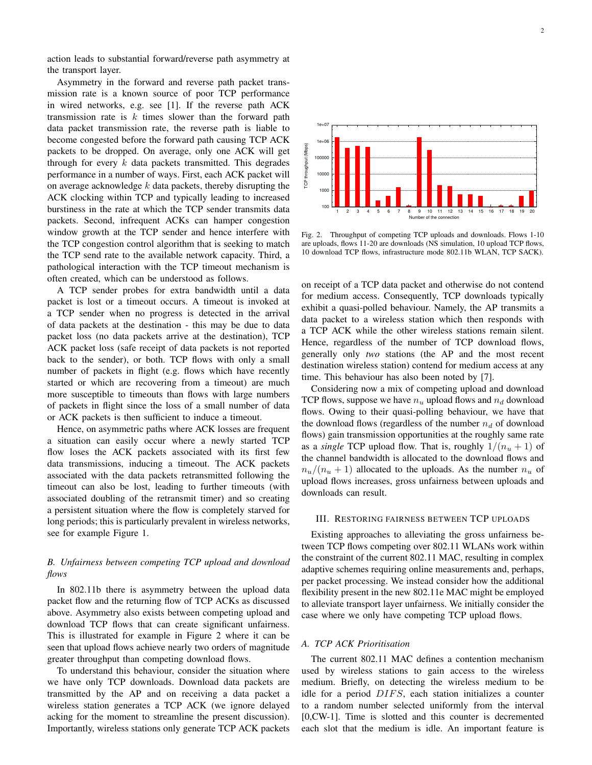action leads to substantial forward/reverse path asymmetry at the transport layer.

Asymmetry in the forward and reverse path packet transmission rate is a known source of poor TCP performance in wired networks, e.g. see [1]. If the reverse path ACK transmission rate is  $k$  times slower than the forward path data packet transmission rate, the reverse path is liable to become congested before the forward path causing TCP ACK packets to be dropped. On average, only one ACK will get through for every  $k$  data packets transmitted. This degrades performance in a number of ways. First, each ACK packet will on average acknowledge  $k$  data packets, thereby disrupting the ACK clocking within TCP and typically leading to increased burstiness in the rate at which the TCP sender transmits data packets. Second, infrequent ACKs can hamper congestion window growth at the TCP sender and hence interfere with the TCP congestion control algorithm that is seeking to match the TCP send rate to the available network capacity. Third, a pathological interaction with the TCP timeout mechanism is often created, which can be understood as follows.

A TCP sender probes for extra bandwidth until a data packet is lost or a timeout occurs. A timeout is invoked at a TCP sender when no progress is detected in the arrival of data packets at the destination - this may be due to data packet loss (no data packets arrive at the destination), TCP ACK packet loss (safe receipt of data packets is not reported back to the sender), or both. TCP flows with only a small number of packets in flight (e.g. flows which have recently started or which are recovering from a timeout) are much more susceptible to timeouts than flows with large numbers of packets in flight since the loss of a small number of data or ACK packets is then sufficient to induce a timeout.

Hence, on asymmetric paths where ACK losses are frequent a situation can easily occur where a newly started TCP flow loses the ACK packets associated with its first few data transmissions, inducing a timeout. The ACK packets associated with the data packets retransmitted following the timeout can also be lost, leading to further timeouts (with associated doubling of the retransmit timer) and so creating a persistent situation where the flow is completely starved for long periods; this is particularly prevalent in wireless networks, see for example Figure 1.

# *B. Unfairness between competing TCP upload and download flows*

In 802.11b there is asymmetry between the upload data packet flow and the returning flow of TCP ACKs as discussed above. Asymmetry also exists between competing upload and download TCP flows that can create significant unfairness. This is illustrated for example in Figure 2 where it can be seen that upload flows achieve nearly two orders of magnitude greater throughput than competing download flows.

To understand this behaviour, consider the situation where we have only TCP downloads. Download data packets are transmitted by the AP and on receiving a data packet a wireless station generates a TCP ACK (we ignore delayed acking for the moment to streamline the present discussion). Importantly, wireless stations only generate TCP ACK packets



Fig. 2. Throughput of competing TCP uploads and downloads. Flows 1-10 are uploads, flows 11-20 are downloads (NS simulation, 10 upload TCP flows, 10 download TCP flows, infrastructure mode 802.11b WLAN, TCP SACK).

on receipt of a TCP data packet and otherwise do not contend for medium access. Consequently, TCP downloads typically exhibit a quasi-polled behaviour. Namely, the AP transmits a data packet to a wireless station which then responds with a TCP ACK while the other wireless stations remain silent. Hence, regardless of the number of TCP download flows, generally only *two* stations (the AP and the most recent destination wireless station) contend for medium access at any time. This behaviour has also been noted by [7].

Considering now a mix of competing upload and download TCP flows, suppose we have  $n_u$  upload flows and  $n_d$  download flows. Owing to their quasi-polling behaviour, we have that the download flows (regardless of the number  $n_d$  of download flows) gain transmission opportunities at the roughly same rate as a *single* TCP upload flow. That is, roughly  $1/(n_u + 1)$  of the channel bandwidth is allocated to the download flows and  $n_u/(n_u + 1)$  allocated to the uploads. As the number  $n_u$  of upload flows increases, gross unfairness between uploads and downloads can result.

#### III. RESTORING FAIRNESS BETWEEN TCP UPLOADS

Existing approaches to alleviating the gross unfairness between TCP flows competing over 802.11 WLANs work within the constraint of the current 802.11 MAC, resulting in complex adaptive schemes requiring online measurements and, perhaps, per packet processing. We instead consider how the additional flexibility present in the new 802.11e MAC might be employed to alleviate transport layer unfairness. We initially consider the case where we only have competing TCP upload flows.

# *A. TCP ACK Prioritisation*

The current 802.11 MAC defines a contention mechanism used by wireless stations to gain access to the wireless medium. Briefly, on detecting the wireless medium to be idle for a period DIFS, each station initializes a counter to a random number selected uniformly from the interval [0,CW-1]. Time is slotted and this counter is decremented each slot that the medium is idle. An important feature is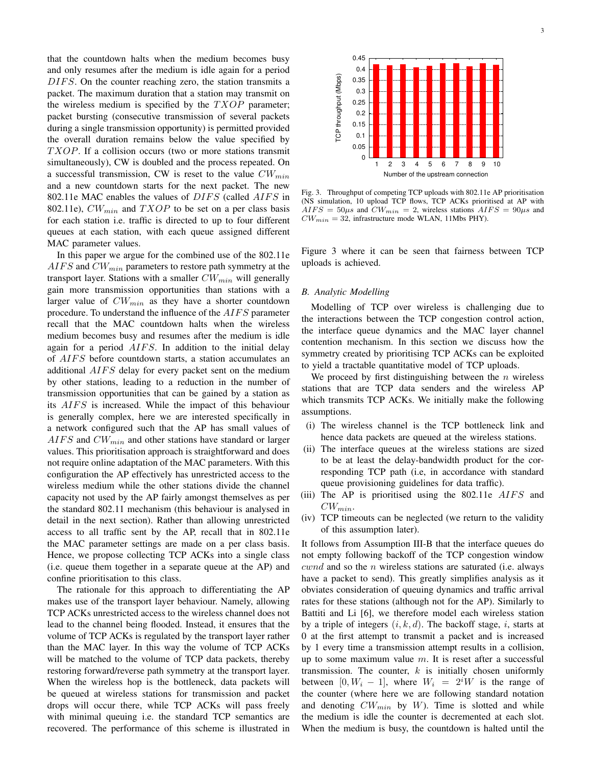that the countdown halts when the medium becomes busy and only resumes after the medium is idle again for a period DIFS. On the counter reaching zero, the station transmits a packet. The maximum duration that a station may transmit on the wireless medium is specified by the  $TXOP$  parameter; packet bursting (consecutive transmission of several packets during a single transmission opportunity) is permitted provided the overall duration remains below the value specified by  $TXOP$ . If a collision occurs (two or more stations transmit simultaneously), CW is doubled and the process repeated. On a successful transmission, CW is reset to the value  $CW_{min}$ and a new countdown starts for the next packet. The new 802.11e MAC enables the values of DIFS (called AIFS in 802.11e),  $CW_{min}$  and  $TXOP$  to be set on a per class basis for each station i.e. traffic is directed to up to four different queues at each station, with each queue assigned different MAC parameter values.

In this paper we argue for the combined use of the 802.11e  $AIFS$  and  $CW_{min}$  parameters to restore path symmetry at the transport layer. Stations with a smaller  $CW_{min}$  will generally gain more transmission opportunities than stations with a larger value of  $CW_{min}$  as they have a shorter countdown procedure. To understand the influence of the AIFS parameter recall that the MAC countdown halts when the wireless medium becomes busy and resumes after the medium is idle again for a period  $AIFS$ . In addition to the initial delay of AIFS before countdown starts, a station accumulates an additional AIFS delay for every packet sent on the medium by other stations, leading to a reduction in the number of transmission opportunities that can be gained by a station as its AIFS is increased. While the impact of this behaviour is generally complex, here we are interested specifically in a network configured such that the AP has small values of  $AIFS$  and  $CW_{min}$  and other stations have standard or larger values. This prioritisation approach is straightforward and does not require online adaptation of the MAC parameters. With this configuration the AP effectively has unrestricted access to the wireless medium while the other stations divide the channel capacity not used by the AP fairly amongst themselves as per the standard 802.11 mechanism (this behaviour is analysed in detail in the next section). Rather than allowing unrestricted access to all traffic sent by the AP, recall that in 802.11e the MAC parameter settings are made on a per class basis. Hence, we propose collecting TCP ACKs into a single class (i.e. queue them together in a separate queue at the AP) and confine prioritisation to this class.

The rationale for this approach to differentiating the AP makes use of the transport layer behaviour. Namely, allowing TCP ACKs unrestricted access to the wireless channel does not lead to the channel being flooded. Instead, it ensures that the volume of TCP ACKs is regulated by the transport layer rather than the MAC layer. In this way the volume of TCP ACKs will be matched to the volume of TCP data packets, thereby restoring forward/reverse path symmetry at the transport layer. When the wireless hop is the bottleneck, data packets will be queued at wireless stations for transmission and packet drops will occur there, while TCP ACKs will pass freely with minimal queuing i.e. the standard TCP semantics are recovered. The performance of this scheme is illustrated in



Fig. 3. Throughput of competing TCP uploads with 802.11e AP prioritisation (NS simulation, 10 upload TCP flows, TCP ACKs prioritised at AP with  $AIFS = 50\mu s$  and  $CW_{min} = 2$ , wireless stations  $AIFS = 90\mu s$  and  $CW_{min} = 32$ , infrastructure mode WLAN, 11Mbs PHY).

Figure 3 where it can be seen that fairness between TCP uploads is achieved.

#### *B. Analytic Modelling*

Modelling of TCP over wireless is challenging due to the interactions between the TCP congestion control action, the interface queue dynamics and the MAC layer channel contention mechanism. In this section we discuss how the symmetry created by prioritising TCP ACKs can be exploited to yield a tractable quantitative model of TCP uploads.

We proceed by first distinguishing between the  $n$  wireless stations that are TCP data senders and the wireless AP which transmits TCP ACKs. We initially make the following assumptions.

- (i) The wireless channel is the TCP bottleneck link and hence data packets are queued at the wireless stations.
- (ii) The interface queues at the wireless stations are sized to be at least the delay-bandwidth product for the corresponding TCP path (i.e, in accordance with standard queue provisioning guidelines for data traffic).
- (iii) The AP is prioritised using the  $802.11e$  *AIFS* and  $CW_{min}$ .
- (iv) TCP timeouts can be neglected (we return to the validity of this assumption later).

It follows from Assumption III-B that the interface queues do not empty following backoff of the TCP congestion window  $cwnd$  and so the  $n$  wireless stations are saturated (i.e. always have a packet to send). This greatly simplifies analysis as it obviates consideration of queuing dynamics and traffic arrival rates for these stations (although not for the AP). Similarly to Battiti and Li [6], we therefore model each wireless station by a triple of integers  $(i, k, d)$ . The backoff stage, i, starts at 0 at the first attempt to transmit a packet and is increased by 1 every time a transmission attempt results in a collision, up to some maximum value  $m$ . It is reset after a successful transmission. The counter,  $k$  is initially chosen uniformly between [0,  $W_i - 1$ ], where  $W_i = 2^i W$  is the range of the counter (where here we are following standard notation and denoting  $CW_{min}$  by W). Time is slotted and while the medium is idle the counter is decremented at each slot. When the medium is busy, the countdown is halted until the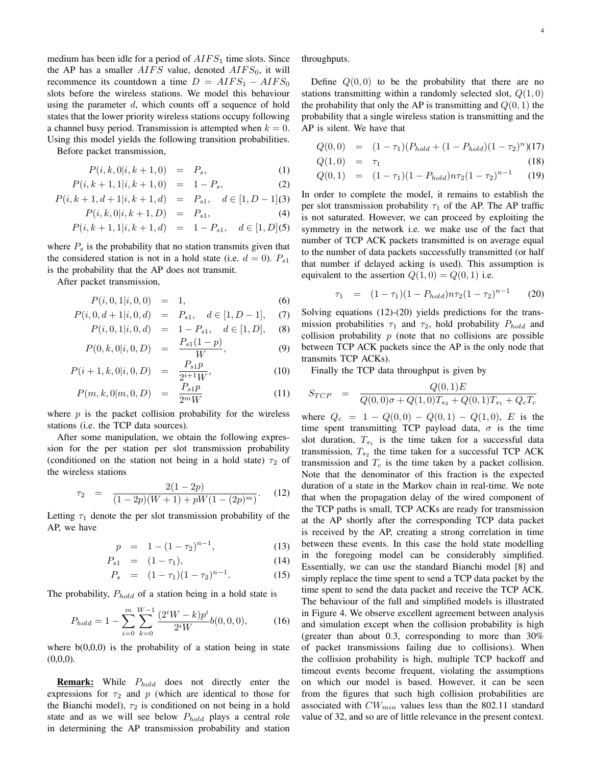medium has been idle for a period of  $AIFS_1$  time slots. Since the AP has a smaller  $AIFS$  value, denoted  $AIFS_0$ , it will recommence its countdown a time  $D = AIFS_1 - AIFS_0$ slots before the wireless stations. We model this behaviour using the parameter  $d$ , which counts off a sequence of hold states that the lower priority wireless stations occupy following a channel busy period. Transmission is attempted when  $k = 0$ . Using this model yields the following transition probabilities.

Before packet transmission,

$$
P(i,k,0|i,k+1,0) = P_s, \t\t(1)
$$

$$
P(i,k+1,1|i,k+1,0) = 1 - P_s, \tag{2}
$$

$$
P(i, k+1, d+1|i, k+1, d) = P_{s1}, d \in [1, D-1](3)
$$

$$
P(i,k,0|i,k+1,D) = P_{s1}, \t\t(4)
$$

$$
P(i, k+1, 1|i, k+1, d) = 1 - P_{s1}, \quad d \in [1, D] \tag{5}
$$

where  $P<sub>s</sub>$  is the probability that no station transmits given that the considered station is not in a hold state (i.e.  $d = 0$ ).  $P_{s1}$ is the probability that the AP does not transmit.

After packet transmission,

$$
P(i,0,1|i,0,0) = 1, \t\t(6)
$$

$$
P(i, 0, d+1|i, 0, d) = P_{s1}, d \in [1, D-1], (7)
$$

$$
P(i, 0, 1|i, 0, d) = 1 - P_{s1}, d \in [1, D], (8)
$$
  

$$
P_{s1}(1-p)
$$

$$
P(0,k,0|i,0,D) = \frac{1 \, s_1 \, (1-p)}{W},\tag{9}
$$

$$
P(i+1,k,0|i,0,D) = \frac{P_{s1}p}{2^{i+1}W},
$$
\n(10)

$$
P(m,k,0|m,0,D) = \frac{P_{s1}p}{2^m W} \tag{11}
$$

where  $p$  is the packet collision probability for the wireless stations (i.e. the TCP data sources).

After some manipulation, we obtain the following expression for the per station per slot transmission probability (conditioned on the station not being in a hold state)  $\tau_2$  of the wireless stations

$$
\tau_2 = \frac{2(1-2p)}{(1-2p)(W+1) + pW(1-(2p)^m)}.
$$
 (12)

Letting  $\tau_1$  denote the per slot transmission probability of the AP, we have

$$
p = 1 - (1 - \tau_2)^{n-1}, \tag{13}
$$

$$
P_{s1} = (1 - \tau_1), \tag{14}
$$

$$
P_s = (1 - \tau_1)(1 - \tau_2)^{n-1}.
$$
 (15)

The probability,  $P_{hold}$  of a station being in a hold state is

$$
P_{hold} = 1 - \sum_{i=0}^{m} \sum_{k=0}^{W-1} \frac{(2^i W - k)p^i}{2^i W} b(0, 0, 0), \tag{16}
$$

where  $b(0,0,0)$  is the probability of a station being in state  $(0,0,0)$ .

**Remark:** While  $P_{hold}$  does not directly enter the expressions for  $\tau_2$  and p (which are identical to those for the Bianchi model),  $\tau_2$  is conditioned on not being in a hold state and as we will see below  $P_{hold}$  plays a central role in determining the AP transmission probability and station

throughputs.

Define  $Q(0, 0)$  to be the probability that there are no stations transmitting within a randomly selected slot,  $Q(1,0)$ the probability that only the AP is transmitting and  $Q(0, 1)$  the probability that a single wireless station is transmitting and the AP is silent. We have that

$$
Q(0,0) = (1 - \tau_1)(P_{hold} + (1 - P_{hold})(1 - \tau_2)^n)(17)
$$

$$
Q(1,0) = \tau_1 \tag{18}
$$

$$
Q(0,1) = (1 - \tau_1)(1 - P_{hold})n\tau_2(1 - \tau_2)^{n-1}
$$
 (19)

In order to complete the model, it remains to establish the per slot transmission probability  $\tau_1$  of the AP. The AP traffic is not saturated. However, we can proceed by exploiting the symmetry in the network i.e. we make use of the fact that number of TCP ACK packets transmitted is on average equal to the number of data packets successfully transmitted (or half that number if delayed acking is used). This assumption is equivalent to the assertion  $Q(1,0) = Q(0,1)$  i.e.

$$
\tau_1 = (1 - \tau_1)(1 - P_{hold})n\tau_2(1 - \tau_2)^{n-1} \qquad (20)
$$

Solving equations (12)-(20) yields predictions for the transmission probabilities  $\tau_1$  and  $\tau_2$ , hold probability  $P_{hold}$  and collision probability  $p$  (note that no collisions are possible between TCP ACK packets since the AP is the only node that transmits TCP ACKs).

Finally the TCP data throughput is given by

$$
S_{TCP} = \frac{Q(0,1)E}{Q(0,0)\sigma + Q(1,0)T_{s_2} + Q(0,1)T_{s_1} + Q_cT_c}
$$

where  $Q_c = 1 - Q(0,0) - Q(0,1) - Q(1,0)$ , E is the time spent transmitting TCP payload data,  $\sigma$  is the time slot duration,  $T_{s_1}$  is the time taken for a successful data transmission,  $T_{s_2}$  the time taken for a successful TCP ACK transmission and  $T_c$  is the time taken by a packet collision. Note that the denominator of this fraction is the expected duration of a state in the Markov chain in real-time. We note that when the propagation delay of the wired component of the TCP paths is small, TCP ACKs are ready for transmission at the AP shortly after the corresponding TCP data packet is received by the AP, creating a strong correlation in time between these events. In this case the hold state modelling in the foregoing model can be considerably simplified. Essentially, we can use the standard Bianchi model [8] and simply replace the time spent to send a TCP data packet by the time spent to send the data packet and receive the TCP ACK. The behaviour of the full and simplified models is illustrated in Figure 4. We observe excellent agreement between analysis and simulation except when the collision probability is high (greater than about 0.3, corresponding to more than 30% of packet transmissions failing due to collisions). When the collision probability is high, multiple TCP backoff and timeout events become frequent, violating the assumptions on which our model is based. However, it can be seen from the figures that such high collision probabilities are associated with  $CW_{min}$  values less than the 802.11 standard value of 32, and so are of little relevance in the present context.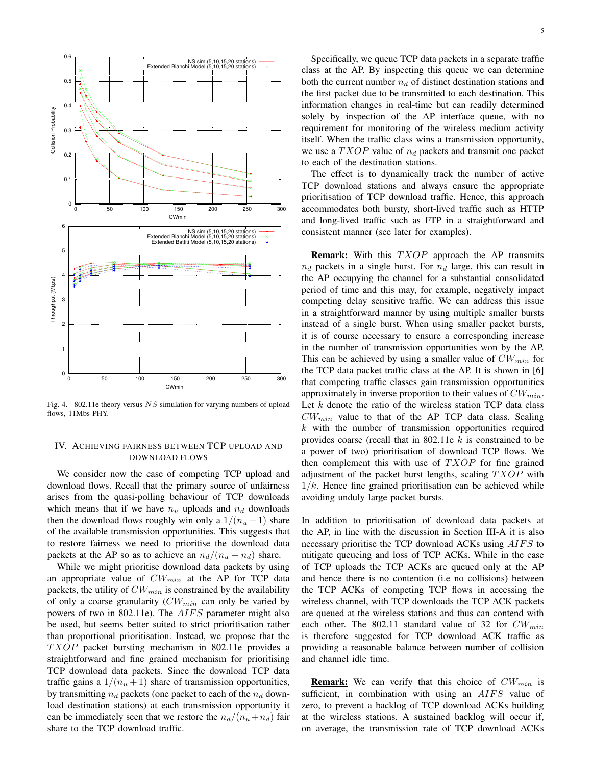

Fig. 4. 802.11e theory versus NS simulation for varying numbers of upload flows, 11Mbs PHY.

# IV. ACHIEVING FAIRNESS BETWEEN TCP UPLOAD AND DOWNLOAD FLOWS

We consider now the case of competing TCP upload and download flows. Recall that the primary source of unfairness arises from the quasi-polling behaviour of TCP downloads which means that if we have  $n_u$  uploads and  $n_d$  downloads then the download flows roughly win only a  $1/(n_u+1)$  share of the available transmission opportunities. This suggests that to restore fairness we need to prioritise the download data packets at the AP so as to achieve an  $n_d/(n_u + n_d)$  share.

While we might prioritise download data packets by using an appropriate value of  $CW_{min}$  at the AP for TCP data packets, the utility of  $CW_{min}$  is constrained by the availability of only a coarse granularity  $(CW_{min}$  can only be varied by powers of two in 802.11e). The AIFS parameter might also be used, but seems better suited to strict prioritisation rather than proportional prioritisation. Instead, we propose that the  $TXOP$  packet bursting mechanism in 802.11e provides a straightforward and fine grained mechanism for prioritising TCP download data packets. Since the download TCP data traffic gains a  $1/(n<sub>u</sub>+1)$  share of transmission opportunities, by transmitting  $n_d$  packets (one packet to each of the  $n_d$  download destination stations) at each transmission opportunity it can be immediately seen that we restore the  $n_d/(n_u+n_d)$  fair share to the TCP download traffic.

Specifically, we queue TCP data packets in a separate traffic class at the AP. By inspecting this queue we can determine both the current number  $n_d$  of distinct destination stations and the first packet due to be transmitted to each destination. This information changes in real-time but can readily determined solely by inspection of the AP interface queue, with no requirement for monitoring of the wireless medium activity itself. When the traffic class wins a transmission opportunity, we use a  $TXOP$  value of  $n_d$  packets and transmit one packet to each of the destination stations.

The effect is to dynamically track the number of active TCP download stations and always ensure the appropriate prioritisation of TCP download traffic. Hence, this approach accommodates both bursty, short-lived traffic such as HTTP and long-lived traffic such as FTP in a straightforward and consistent manner (see later for examples).

**Remark:** With this TXOP approach the AP transmits  $n_d$  packets in a single burst. For  $n_d$  large, this can result in the AP occupying the channel for a substantial consolidated period of time and this may, for example, negatively impact competing delay sensitive traffic. We can address this issue in a straightforward manner by using multiple smaller bursts instead of a single burst. When using smaller packet bursts, it is of course necessary to ensure a corresponding increase in the number of transmission opportunities won by the AP. This can be achieved by using a smaller value of  $CW_{min}$  for the TCP data packet traffic class at the AP. It is shown in [6] that competing traffic classes gain transmission opportunities approximately in inverse proportion to their values of  $CW_{min}$ . Let  $k$  denote the ratio of the wireless station TCP data class  $CW_{min}$  value to that of the AP TCP data class. Scaling  $k$  with the number of transmission opportunities required provides coarse (recall that in 802.11e  $k$  is constrained to be a power of two) prioritisation of download TCP flows. We then complement this with use of  $TXOP$  for fine grained adjustment of the packet burst lengths, scaling  $TXOP$  with  $1/k$ . Hence fine grained prioritisation can be achieved while avoiding unduly large packet bursts.

In addition to prioritisation of download data packets at the AP, in line with the discussion in Section III-A it is also necessary prioritise the TCP download ACKs using AIFS to mitigate queueing and loss of TCP ACKs. While in the case of TCP uploads the TCP ACKs are queued only at the AP and hence there is no contention (i.e no collisions) between the TCP ACKs of competing TCP flows in accessing the wireless channel, with TCP downloads the TCP ACK packets are queued at the wireless stations and thus can contend with each other. The 802.11 standard value of 32 for  $CW_{min}$ is therefore suggested for TCP download ACK traffic as providing a reasonable balance between number of collision and channel idle time.

**Remark:** We can verify that this choice of  $CW_{min}$  is sufficient, in combination with using an AIFS value of zero, to prevent a backlog of TCP download ACKs building at the wireless stations. A sustained backlog will occur if, on average, the transmission rate of TCP download ACKs